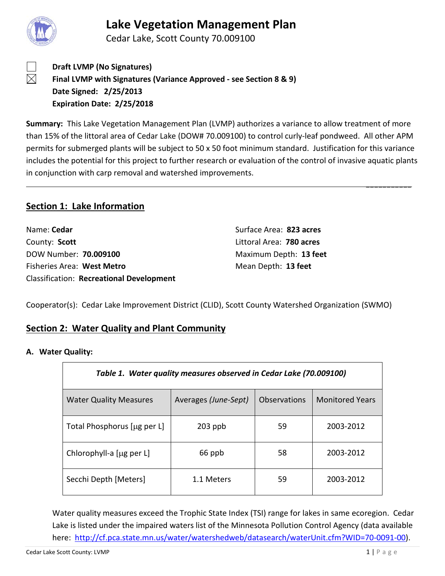

Cedar Lake, Scott County 70.009100



 $\boxtimes$ 

**Draft LVMP (No Signatures) Final LVMP with Signatures (Variance Approved - see Section 8 & 9) Date Signed: 2/25/2013 Expiration Date: 2/25/2018**

**Summary:** This Lake Vegetation Management Plan (LVMP) authorizes a variance to allow treatment of more than 15% of the littoral area of Cedar Lake (DOW# 70.009100) to control curly-leaf pondweed. All other APM permits for submerged plants will be subject to 50 x 50 foot minimum standard. Justification for this variance includes the potential for this project to further research or evaluation of the control of invasive aquatic plants in conjunction with carp removal and watershed improvements.

## **Section 1: Lake Information**

| Name: Cedar                                     | Surface Area: 823 acres  |
|-------------------------------------------------|--------------------------|
| County: Scott                                   | Littoral Area: 780 acres |
| DOW Number: 70.009100                           | Maximum Depth: 13 feet   |
| Fisheries Area: West Metro                      | Mean Depth: 13 feet      |
| <b>Classification: Recreational Development</b> |                          |

Cooperator(s): Cedar Lake Improvement District (CLID), Scott County Watershed Organization (SWMO)

## **Section 2: Water Quality and Plant Community**

**A. Water Quality:**

| Table 1. Water quality measures observed in Cedar Lake (70.009100) |                      |                     |                        |  |
|--------------------------------------------------------------------|----------------------|---------------------|------------------------|--|
| <b>Water Quality Measures</b>                                      | Averages (June-Sept) | <b>Observations</b> | <b>Monitored Years</b> |  |
| Total Phosphorus [µg per L]                                        | $203$ ppb            | 59                  | 2003-2012              |  |
| Chlorophyll-a [µg per L]                                           | 66 ppb               | 58                  | 2003-2012              |  |
| Secchi Depth [Meters]                                              | 1.1 Meters           | 59                  | 2003-2012              |  |

Water quality measures exceed the Trophic State Index (TSI) range for lakes in same ecoregion. Cedar Lake is listed under the impaired waters list of the Minnesota Pollution Control Agency (data available here: [http://cf.pca.state.mn.us/water/watershedweb/datasearch/waterUnit.cfm?WID=70-0091-00\)](http://cf.pca.state.mn.us/water/watershedweb/datasearch/waterUnit.cfm?WID=70-0091-00).

 $\overline{\phantom{a}}$  , where  $\overline{\phantom{a}}$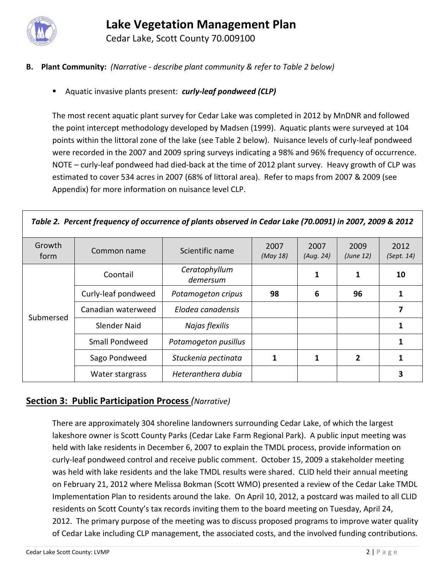

Cedar Lake, Scott County 70.009100

## **B. Plant Community:** *(Narrative - describe plant community & refer to Table 2 below)*

Aquatic invasive plants present: *curly-leaf pondweed (CLP)*

The most recent aquatic plant survey for Cedar Lake was completed in 2012 by MnDNR and followed the point intercept methodology developed by Madsen (1999). Aquatic plants were surveyed at 104 points within the littoral zone of the lake (see Table 2 below). Nuisance levels of curly-leaf pondweed were recorded in the 2007 and 2009 spring surveys indicating a 98% and 96% frequency of occurrence. NOTE – curly-leaf pondweed had died-back at the time of 2012 plant survey. Heavy growth of CLP was estimated to cover 534 acres in 2007 (68% of littoral area). Refer to maps from 2007 & 2009 (see Appendix) for more information on nuisance level CLP.

| Growth<br>form | Common name         | Scientific name           | 2007<br>(May 18) | 2007<br>(Aug. 24) | 2009<br>(June 12) | 2012<br>(Sept. 14) |
|----------------|---------------------|---------------------------|------------------|-------------------|-------------------|--------------------|
|                | Coontail            | Ceratophyllum<br>demersum |                  | 1                 | 1                 | 10                 |
| Submersed      | Curly-leaf pondweed | Potamogeton cripus        | 98               | 6                 | 96                | 1                  |
|                | Canadian waterweed  | Elodea canadensis         |                  |                   |                   | 7                  |
|                | Slender Naid        | Najas flexilis            |                  |                   |                   | 1                  |
|                | Small Pondweed      | Potamogeton pusillus      |                  |                   |                   | 1                  |
|                | Sago Pondweed       | Stuckenia pectinata       |                  | 1                 | 2                 | 1                  |
|                | Water stargrass     | Heteranthera dubia        |                  |                   |                   | 3                  |

## **Section 3: Public Participation Process** *(Narrative)*

There are approximately 304 shoreline landowners surrounding Cedar Lake, of which the largest lakeshore owner is Scott County Parks (Cedar Lake Farm Regional Park). A public input meeting was held with lake residents in December 6, 2007 to explain the TMDL process, provide information on curly-leaf pondweed control and receive public comment. October 15, 2009 a stakeholder meeting was held with lake residents and the lake TMDL results were shared. CLID held their annual meeting on February 21, 2012 where Melissa Bokman (Scott WMO) presented a review of the Cedar Lake TMDL Implementation Plan to residents around the lake. On April 10, 2012, a postcard was mailed to all CLID residents on Scott County's tax records inviting them to the board meeting on Tuesday, April 24, 2012. The primary purpose of the meeting was to discuss proposed programs to improve water quality of Cedar Lake including CLP management, the associated costs, and the involved funding contributions.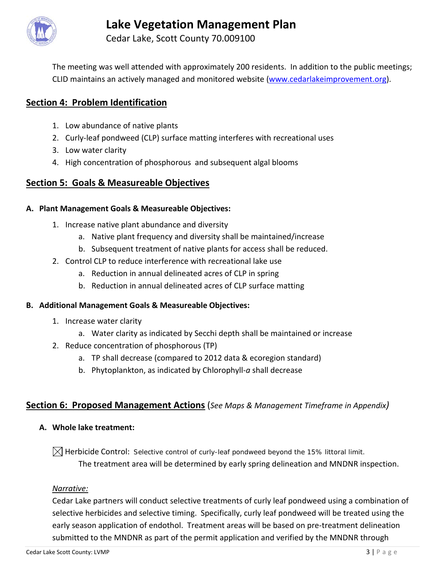

Cedar Lake, Scott County 70.009100

The meeting was well attended with approximately 200 residents. In addition to the public meetings; CLID maintains an actively managed and monitored website [\(www.cedarlakeimprovement.org\)](http://www.cedarlakeimprovement.org/).

# **Section 4: Problem Identification**

- 1. Low abundance of native plants
- 2. Curly-leaf pondweed (CLP) surface matting interferes with recreational uses
- 3. Low water clarity
- 4. High concentration of phosphorous and subsequent algal blooms

# **Section 5: Goals & Measureable Objectives**

## **A. Plant Management Goals & Measureable Objectives:**

- 1. Increase native plant abundance and diversity
	- a. Native plant frequency and diversity shall be maintained/increase
	- b. Subsequent treatment of native plants for access shall be reduced.
- 2. Control CLP to reduce interference with recreational lake use
	- a. Reduction in annual delineated acres of CLP in spring
	- b. Reduction in annual delineated acres of CLP surface matting

## **B. Additional Management Goals & Measureable Objectives:**

- 1. Increase water clarity
	- a. Water clarity as indicated by Secchi depth shall be maintained or increase
- 2. Reduce concentration of phosphorous (TP)
	- a. TP shall decrease (compared to 2012 data & ecoregion standard)
	- b. Phytoplankton, as indicated by Chlorophyll-*a* shall decrease

# **Section 6: Proposed Management Actions** (*See Maps & Management Timeframe in Appendix)*

**A. Whole lake treatment:** 

 $\boxtimes$  Herbicide Control: Selective control of curly-leaf pondweed beyond the 15% littoral limit. The treatment area will be determined by early spring delineation and MNDNR inspection.

## *Narrative:*

Cedar Lake partners will conduct selective treatments of curly leaf pondweed using a combination of selective herbicides and selective timing. Specifically, curly leaf pondweed will be treated using the early season application of endothol. Treatment areas will be based on pre-treatment delineation submitted to the MNDNR as part of the permit application and verified by the MNDNR through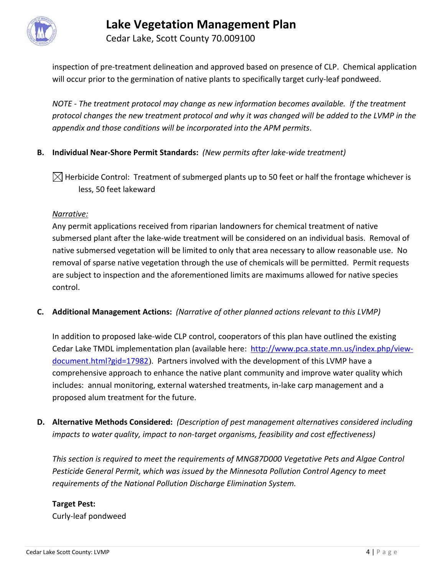

Cedar Lake, Scott County 70.009100

inspection of pre-treatment delineation and approved based on presence of CLP. Chemical application will occur prior to the germination of native plants to specifically target curly-leaf pondweed.

*NOTE - The treatment protocol may change as new information becomes available. If the treatment protocol changes the new treatment protocol and why it was changed will be added to the LVMP in the appendix and those conditions will be incorporated into the APM permits*.

## **B. Individual Near-Shore Permit Standards:** *(New permits after lake-wide treatment)*

 $\boxtimes$  Herbicide Control: Treatment of submerged plants up to 50 feet or half the frontage whichever is less, 50 feet lakeward

### *Narrative:*

Any permit applications received from riparian landowners for chemical treatment of native submersed plant after the lake-wide treatment will be considered on an individual basis. Removal of native submersed vegetation will be limited to only that area necessary to allow reasonable use. No removal of sparse native vegetation through the use of chemicals will be permitted. Permit requests are subject to inspection and the aforementioned limits are maximums allowed for native species control.

**C. Additional Management Actions:** *(Narrative of other planned actions relevant to this LVMP)*

In addition to proposed lake-wide CLP control, cooperators of this plan have outlined the existing Cedar Lake TMDL implementation plan (available here: [http://www.pca.state.mn.us/index.php/view](http://www.pca.state.mn.us/index.php/view-document.html?gid=17982)[document.html?gid=17982](http://www.pca.state.mn.us/index.php/view-document.html?gid=17982)). Partners involved with the development of this LVMP have a comprehensive approach to enhance the native plant community and improve water quality which includes: annual monitoring, external watershed treatments, in-lake carp management and a proposed alum treatment for the future.

**D. Alternative Methods Considered:** *(Description of pest management alternatives considered including impacts to water quality, impact to non-target organisms, feasibility and cost effectiveness)*

*This section is required to meet the requirements of MNG87D000 Vegetative Pets and Algae Control Pesticide General Permit, which was issued by the Minnesota Pollution Control Agency to meet requirements of the National Pollution Discharge Elimination System.*

## **Target Pest:**

Curly-leaf pondweed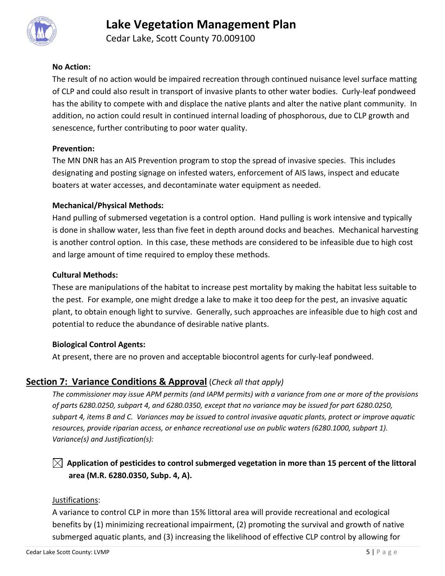

Cedar Lake, Scott County 70.009100

### **No Action:**

The result of no action would be impaired recreation through continued nuisance level surface matting of CLP and could also result in transport of invasive plants to other water bodies. Curly-leaf pondweed has the ability to compete with and displace the native plants and alter the native plant community. In addition, no action could result in continued internal loading of phosphorous, due to CLP growth and senescence, further contributing to poor water quality.

### **Prevention:**

The MN DNR has an AIS Prevention program to stop the spread of invasive species. This includes designating and posting signage on infested waters, enforcement of AIS laws, inspect and educate boaters at water accesses, and decontaminate water equipment as needed.

### **Mechanical/Physical Methods:**

Hand pulling of submersed vegetation is a control option. Hand pulling is work intensive and typically is done in shallow water, less than five feet in depth around docks and beaches. Mechanical harvesting is another control option. In this case, these methods are considered to be infeasible due to high cost and large amount of time required to employ these methods.

### **Cultural Methods:**

These are manipulations of the habitat to increase pest mortality by making the habitat less suitable to the pest. For example, one might dredge a lake to make it too deep for the pest, an invasive aquatic plant, to obtain enough light to survive. Generally, such approaches are infeasible due to high cost and potential to reduce the abundance of desirable native plants.

## **Biological Control Agents:**

At present, there are no proven and acceptable biocontrol agents for curly-leaf pondweed.

## **Section 7: Variance Conditions & Approval** (*Check all that apply)*

*The commissioner may issue APM permits (and IAPM permits) with a variance from one or more of the provisions of parts 6280.0250, subpart 4, and 6280.0350, except that no variance may be issued for part 6280.0250, subpart 4, items B and C. Variances may be issued to control invasive aquatic plants, protect or improve aquatic resources, provide riparian access, or enhance recreational use on public waters (6280.1000, subpart 1). Variance(s) and Justification(s):*

# $\boxtimes$  Application of pesticides to control submerged vegetation in more than 15 percent of the littoral **area (M.R. 6280.0350, Subp. 4, A).**

### Justifications:

A variance to control CLP in more than 15% littoral area will provide recreational and ecological benefits by (1) minimizing recreational impairment, (2) promoting the survival and growth of native submerged aquatic plants, and (3) increasing the likelihood of effective CLP control by allowing for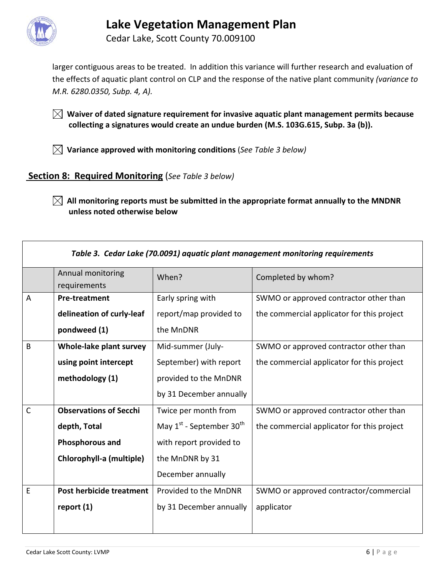

Cedar Lake, Scott County 70.009100

larger contiguous areas to be treated. In addition this variance will further research and evaluation of the effects of aquatic plant control on CLP and the response of the native plant community *(variance to M.R. 6280.0350, Subp. 4, A).*

 **Waiver of dated signature requirement for invasive aquatic plant management permits because collecting a signatures would create an undue burden (M.S. 103G.615, Subp. 3a (b)).**

 **Variance approved with monitoring conditions** (*See Table 3 below)*

## **Section 8: Required Monitoring** (*See Table 3 below)*

 $\boxtimes$  All monitoring reports must be submitted in the appropriate format annually to the MNDNR **unless noted otherwise below**

| Table 3. Cedar Lake (70.0091) aquatic plant management monitoring requirements |                                   |                                    |                                            |  |
|--------------------------------------------------------------------------------|-----------------------------------|------------------------------------|--------------------------------------------|--|
|                                                                                | Annual monitoring<br>requirements | When?                              | Completed by whom?                         |  |
| $\overline{A}$                                                                 | <b>Pre-treatment</b>              | Early spring with                  | SWMO or approved contractor other than     |  |
|                                                                                | delineation of curly-leaf         | report/map provided to             | the commercial applicator for this project |  |
|                                                                                | pondweed (1)                      | the MnDNR                          |                                            |  |
| B                                                                              | Whole-lake plant survey           | Mid-summer (July-                  | SWMO or approved contractor other than     |  |
|                                                                                | using point intercept             | September) with report             | the commercial applicator for this project |  |
|                                                                                | methodology (1)                   | provided to the MnDNR              |                                            |  |
|                                                                                |                                   | by 31 December annually            |                                            |  |
| $\mathsf{C}$                                                                   | <b>Observations of Secchi</b>     | Twice per month from               | SWMO or approved contractor other than     |  |
|                                                                                | depth, Total                      | May $1^{st}$ - September $30^{th}$ | the commercial applicator for this project |  |
|                                                                                | Phosphorous and                   | with report provided to            |                                            |  |
|                                                                                | Chlorophyll-a (multiple)          | the MnDNR by 31                    |                                            |  |
|                                                                                |                                   | December annually                  |                                            |  |
| E                                                                              | Post herbicide treatment          | Provided to the MnDNR              | SWMO or approved contractor/commercial     |  |
|                                                                                | report $(1)$                      | by 31 December annually            | applicator                                 |  |
|                                                                                |                                   |                                    |                                            |  |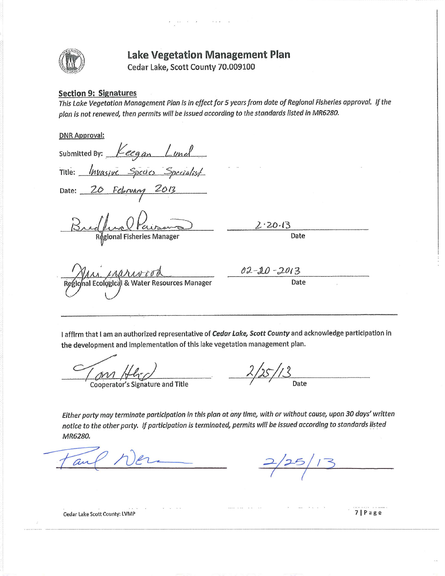

 $\sim$   $\sim$   $\sim$ 

Cedar Lake, Scott County 70.009100

#### **Section 9: Signatures**

This Lake Vegetation Management Plan is in effect for 5 years from date of Regional Fisherles approval. If the plan is not renewed, then permits will be issued according to the standards listed in MR6280.

#### **DNR Approval:**

Submitted By:  $Keega_n$   $Lund$ Title: <u>Invasive Species</u> Specialist Date: 20 February 2013  $2.20.13$ Regional Fisheries Manager Date 02-20-2013 Date al Ecological & Water Resources Manager

I affirm that I am an authorized representative of Cedar Lake, Scott County and acknowledge participation in the development and implementation of this lake vegetation management plan.

**Cooperator's Signature and Title** 

Either party may terminate participation in this plan at any time, with or without cause, upon 30 days' written notice to the other party. If participation is terminated, permits will be issued according to standards listed MR6280.

Cedar Lake Scott County: LVMP

7 | Page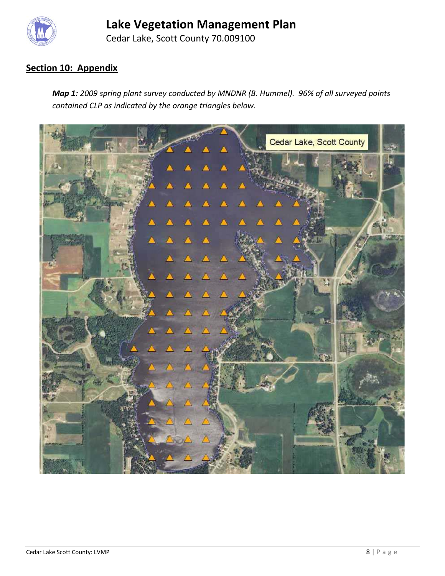

Cedar Lake, Scott County 70.009100

# **Section 10: Appendix**

*Map 1: 2009 spring plant survey conducted by MNDNR (B. Hummel). 96% of all surveyed points contained CLP as indicated by the orange triangles below.*

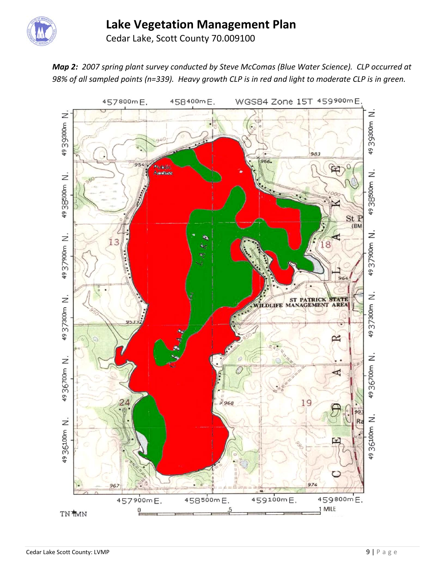

Cedar Lake, Scott County 70.009100

*Map 2: 2007 spring plant survey conducted by Steve McComas (Blue Water Science). CLP occurred at 98% of all sampled points (n=339). Heavy growth CLP is in red and light to moderate CLP is in green.*